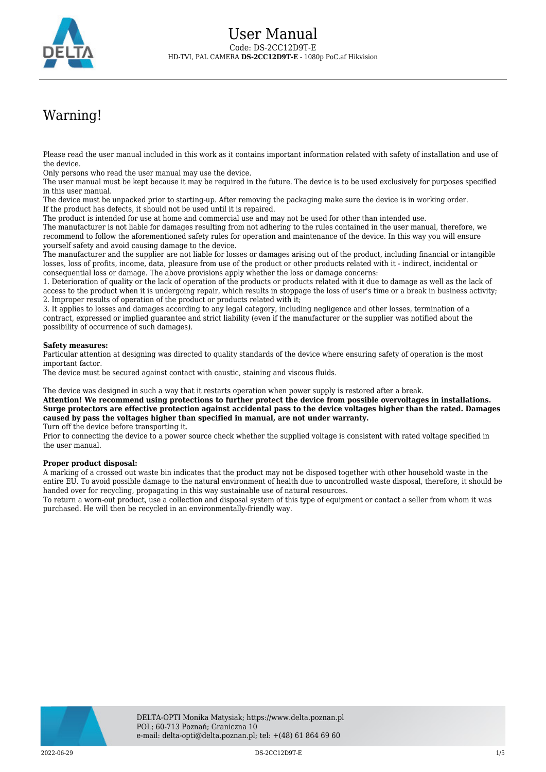

## Warning!

Please read the user manual included in this work as it contains important information related with safety of installation and use of the device.

Only persons who read the user manual may use the device.

The user manual must be kept because it may be required in the future. The device is to be used exclusively for purposes specified in this user manual.

The device must be unpacked prior to starting-up. After removing the packaging make sure the device is in working order. If the product has defects, it should not be used until it is repaired.

The product is intended for use at home and commercial use and may not be used for other than intended use.

The manufacturer is not liable for damages resulting from not adhering to the rules contained in the user manual, therefore, we recommend to follow the aforementioned safety rules for operation and maintenance of the device. In this way you will ensure yourself safety and avoid causing damage to the device.

The manufacturer and the supplier are not liable for losses or damages arising out of the product, including financial or intangible losses, loss of profits, income, data, pleasure from use of the product or other products related with it - indirect, incidental or consequential loss or damage. The above provisions apply whether the loss or damage concerns:

1. Deterioration of quality or the lack of operation of the products or products related with it due to damage as well as the lack of access to the product when it is undergoing repair, which results in stoppage the loss of user's time or a break in business activity; 2. Improper results of operation of the product or products related with it;

3. It applies to losses and damages according to any legal category, including negligence and other losses, termination of a contract, expressed or implied guarantee and strict liability (even if the manufacturer or the supplier was notified about the possibility of occurrence of such damages).

## **Safety measures:**

Particular attention at designing was directed to quality standards of the device where ensuring safety of operation is the most important factor.

The device must be secured against contact with caustic, staining and viscous fluids.

The device was designed in such a way that it restarts operation when power supply is restored after a break.

**Attention! We recommend using protections to further protect the device from possible overvoltages in installations. Surge protectors are effective protection against accidental pass to the device voltages higher than the rated. Damages caused by pass the voltages higher than specified in manual, are not under warranty.**

Turn off the device before transporting it.

Prior to connecting the device to a power source check whether the supplied voltage is consistent with rated voltage specified in the user manual.

## **Proper product disposal:**

A marking of a crossed out waste bin indicates that the product may not be disposed together with other household waste in the entire EU. To avoid possible damage to the natural environment of health due to uncontrolled waste disposal, therefore, it should be handed over for recycling, propagating in this way sustainable use of natural resources.

To return a worn-out product, use a collection and disposal system of this type of equipment or contact a seller from whom it was purchased. He will then be recycled in an environmentally-friendly way.

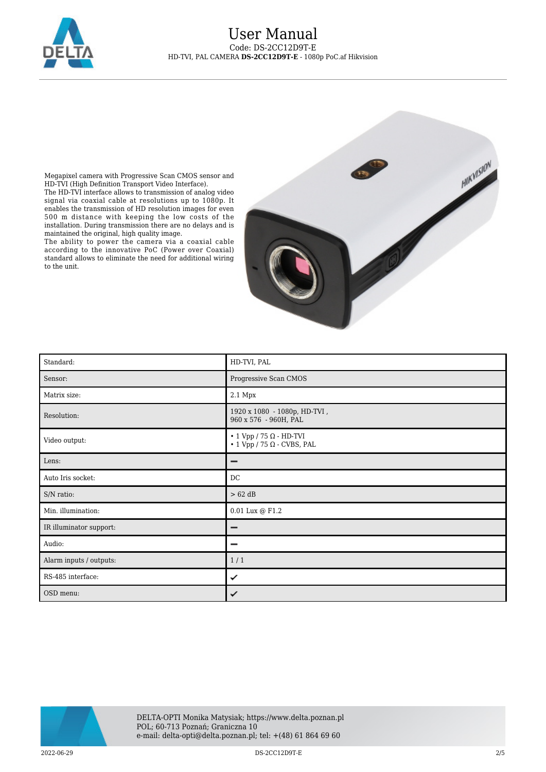

Megapixel camera with Progressive Scan CMOS sensor and HD-TVI (High Definition Transport Video Interface).

The HD-TVI interface allows to transmission of analog video signal via coaxial cable at resolutions up to 1080p. It enables the transmission of HD resolution images for even 500 m distance with keeping the low costs of the installation. During transmission there are no delays and is maintained the original, high quality image.

The ability to power the camera via a coaxial cable according to the innovative PoC (Power over Coaxial) standard allows to eliminate the need for additional wiring to the unit.



| Standard:               | HD-TVI, PAL                                                                     |
|-------------------------|---------------------------------------------------------------------------------|
| Sensor:                 | Progressive Scan CMOS                                                           |
| Matrix size:            | 2.1 Mpx                                                                         |
| Resolution:             | 1920 x 1080 - 1080p, HD-TVI,<br>960 x 576 - 960H, PAL                           |
| Video output:           | $\cdot$ 1 Vpp / 75 $\Omega$ - HD-TVI<br>$\cdot$ 1 Vpp / 75 $\Omega$ - CVBS, PAL |
| Lens:                   | -                                                                               |
| Auto Iris socket:       | DC                                                                              |
| S/N ratio:              | $> 62$ dB                                                                       |
| Min. illumination:      | $0.01$ Lux $\circledcirc$ F1.2                                                  |
| IR illuminator support: | -                                                                               |
| Audio:                  | -                                                                               |
| Alarm inputs / outputs: | 1/1                                                                             |
| RS-485 interface:       | ✓                                                                               |
| OSD menu:               | ✓                                                                               |



2022-06-29 DS-2CC12D9T-E 2/5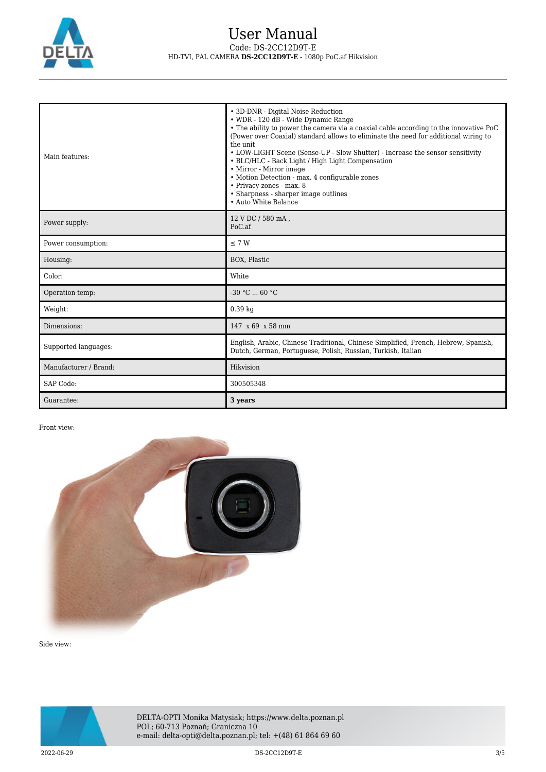

| Main features:        | • 3D-DNR - Digital Noise Reduction<br>• WDR - 120 dB - Wide Dynamic Range<br>• The ability to power the camera via a coaxial cable according to the innovative PoC<br>(Power over Coaxial) standard allows to eliminate the need for additional wiring to<br>the unit.<br>• LOW-LIGHT Scene (Sense-UP - Slow Shutter) - Increase the sensor sensitivity<br>• BLC/HLC - Back Light / High Light Compensation<br>• Mirror - Mirror image<br>• Motion Detection - max. 4 configurable zones<br>• Privacy zones - max. 8<br>• Sharpness - sharper image outlines<br>• Auto White Balance |
|-----------------------|--------------------------------------------------------------------------------------------------------------------------------------------------------------------------------------------------------------------------------------------------------------------------------------------------------------------------------------------------------------------------------------------------------------------------------------------------------------------------------------------------------------------------------------------------------------------------------------|
| Power supply:         | 12 V DC / 580 mA,<br>PoC <sub>a</sub> f                                                                                                                                                                                                                                                                                                                                                                                                                                                                                                                                              |
| Power consumption:    | $\leq$ 7 W                                                                                                                                                                                                                                                                                                                                                                                                                                                                                                                                                                           |
| Housing:              | BOX, Plastic                                                                                                                                                                                                                                                                                                                                                                                                                                                                                                                                                                         |
| Color:                | White                                                                                                                                                                                                                                                                                                                                                                                                                                                                                                                                                                                |
| Operation temp:       | $-30 °C$ 60 °C                                                                                                                                                                                                                                                                                                                                                                                                                                                                                                                                                                       |
| Weight:               | $0.39$ kg                                                                                                                                                                                                                                                                                                                                                                                                                                                                                                                                                                            |
| Dimensions:           | $147 \times 69 \times 58 \text{ mm}$                                                                                                                                                                                                                                                                                                                                                                                                                                                                                                                                                 |
| Supported languages:  | English, Arabic, Chinese Traditional, Chinese Simplified, French, Hebrew, Spanish,<br>Dutch, German, Portuguese, Polish, Russian, Turkish, Italian                                                                                                                                                                                                                                                                                                                                                                                                                                   |
| Manufacturer / Brand: | Hikvision                                                                                                                                                                                                                                                                                                                                                                                                                                                                                                                                                                            |
| SAP Code:             | 300505348                                                                                                                                                                                                                                                                                                                                                                                                                                                                                                                                                                            |
| Guarantee:            | 3 years                                                                                                                                                                                                                                                                                                                                                                                                                                                                                                                                                                              |

## Front view:



Side view:

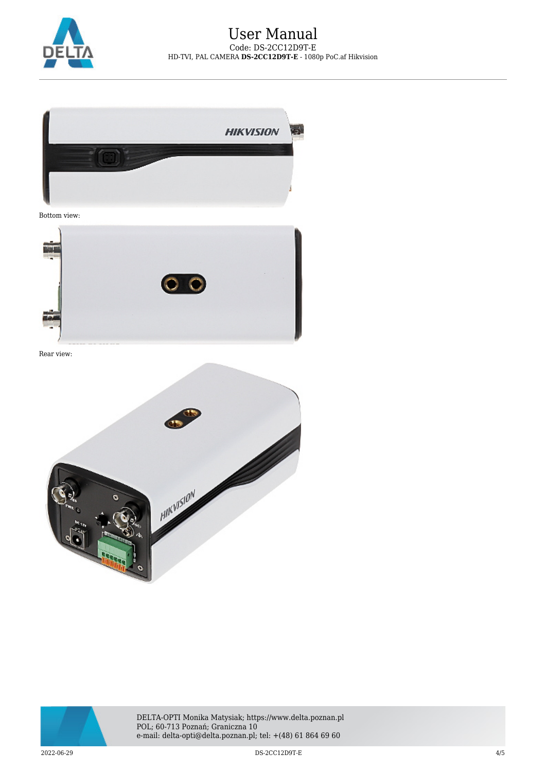



Bottom view:



Rear view:





DELTA-OPTI Monika Matysiak; https://www.delta.poznan.pl POL; 60-713 Poznań; Graniczna 10 e-mail: delta-opti@delta.poznan.pl; tel: +(48) 61 864 69 60

2022-06-29 DS-2CC12D9T-E 4/5